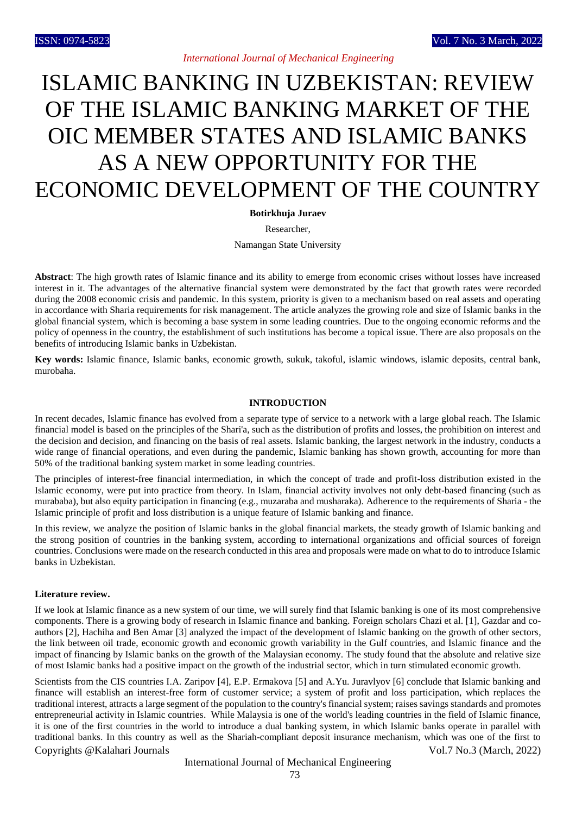## *International Journal of Mechanical Engineering*

# ISLAMIC BANKING IN UZBEKISTAN: REVIEW OF THE ISLAMIC BANKING MARKET OF THE OIC MEMBER STATES AND ISLAMIC BANKS AS A NEW OPPORTUNITY FOR THE ECONOMIC DEVELOPMENT OF THE COUNTRY

**Botirkhuja Juraev**

Researcher,

Namangan State University

**Abstract**: The high growth rates of Islamic finance and its ability to emerge from economic crises without losses have increased interest in it. The advantages of the alternative financial system were demonstrated by the fact that growth rates were recorded during the 2008 economic crisis and pandemic. In this system, priority is given to a mechanism based on real assets and operating in accordance with Sharia requirements for risk management. The article analyzes the growing role and size of Islamic banks in the global financial system, which is becoming a base system in some leading countries. Due to the ongoing economic reforms and the policy of openness in the country, the establishment of such institutions has become a topical issue. There are also proposals on the benefits of introducing Islamic banks in Uzbekistan.

**Key words:** Islamic finance, Islamic banks, economic growth, sukuk, takoful, islamic windows, islamic deposits, central bank, murobaha.

#### **INTRODUCTION**

In recent decades, Islamic finance has evolved from a separate type of service to a network with a large global reach. The Islamic financial model is based on the principles of the Shari'a, such as the distribution of profits and losses, the prohibition on interest and the decision and decision, and financing on the basis of real assets. Islamic banking, the largest network in the industry, conducts a wide range of financial operations, and even during the pandemic, Islamic banking has shown growth, accounting for more than 50% of the traditional banking system market in some leading countries.

The principles of interest-free financial intermediation, in which the concept of trade and profit-loss distribution existed in the Islamic economy, were put into practice from theory. In Islam, financial activity involves not only debt-based financing (such as murababa), but also equity participation in financing (e.g., muzaraba and musharaka). Adherence to the requirements of Sharia - the Islamic principle of profit and loss distribution is a unique feature of Islamic banking and finance.

In this review, we analyze the position of Islamic banks in the global financial markets, the steady growth of Islamic banking and the strong position of countries in the banking system, according to international organizations and official sources of foreign countries. Conclusions were made on the research conducted in this area and proposals were made on what to do to introduce Islamic banks in Uzbekistan.

#### **Literature review.**

If we look at Islamic finance as a new system of our time, we will surely find that Islamic banking is one of its most comprehensive components. There is a growing body of research in Islamic finance and banking. Foreign scholars Chazi et al. [1], Gazdar and coauthors [2], Hachiha and Ben Amar [3] analyzed the impact of the development of Islamic banking on the growth of other sectors, the link between oil trade, economic growth and economic growth variability in the Gulf countries, and Islamic finance and the impact of financing by Islamic banks on the growth of the Malaysian economy. The study found that the absolute and relative size of most Islamic banks had a positive impact on the growth of the industrial sector, which in turn stimulated economic growth.

Copyrights @Kalahari Journals Vol.7 No.3 (March, 2022) Scientists from the CIS countries I.A. Zaripov [4], E.P. Ermakova [5] and A.Yu. Juravlyov [6] conclude that Islamic banking and finance will establish an interest-free form of customer service; a system of profit and loss participation, which replaces the traditional interest, attracts a large segment of the population to the country's financial system; raises savings standards and promotes entrepreneurial activity in Islamic countries. While Malaysia is one of the world's leading countries in the field of Islamic finance, it is one of the first countries in the world to introduce a dual banking system, in which Islamic banks operate in parallel with traditional banks. In this country as well as the Shariah-compliant deposit insurance mechanism, which was one of the first to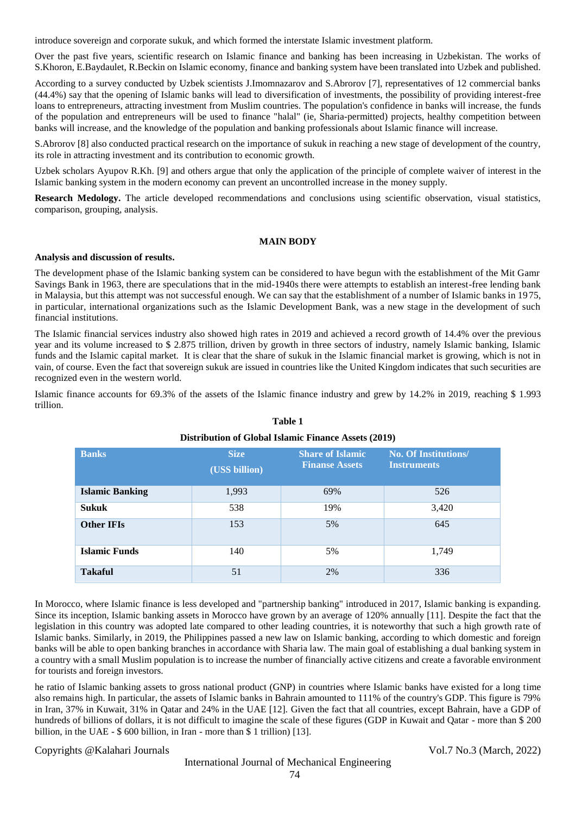introduce sovereign and corporate sukuk, and which formed the interstate Islamic investment platform.

Over the past five years, scientific research on Islamic finance and banking has been increasing in Uzbekistan. The works of S.Khoron, E.Baydaulet, R.Beckin on Islamic economy, finance and banking system have been translated into Uzbek and published.

According to a survey conducted by Uzbek scientists J.Imomnazarov and S.Abrorov [7], representatives of 12 commercial banks (44.4%) say that the opening of Islamic banks will lead to diversification of investments, the possibility of providing interest-free loans to entrepreneurs, attracting investment from Muslim countries. The population's confidence in banks will increase, the funds of the population and entrepreneurs will be used to finance "halal" (ie, Sharia-permitted) projects, healthy competition between banks will increase, and the knowledge of the population and banking professionals about Islamic finance will increase.

S.Abrorov [8] also conducted practical research on the importance of sukuk in reaching a new stage of development of the country, its role in attracting investment and its contribution to economic growth.

Uzbek scholars Ayupov R.Kh. [9] and others argue that only the application of the principle of complete waiver of interest in the Islamic banking system in the modern economy can prevent an uncontrolled increase in the money supply.

**Research Medology.** The article developed recommendations and conclusions using scientific observation, visual statistics, comparison, grouping, analysis.

### **MAIN BODY**

#### **Analysis and discussion of results.**

The development phase of the Islamic banking system can be considered to have begun with the establishment of the Mit Gamr Savings Bank in 1963, there are speculations that in the mid-1940s there were attempts to establish an interest-free lending bank in Malaysia, but this attempt was not successful enough. We can say that the establishment of a number of Islamic banks in 1975, in particular, international organizations such as the Islamic Development Bank, was a new stage in the development of such financial institutions.

The Islamic financial services industry also showed high rates in 2019 and achieved a record growth of 14.4% over the previous year and its volume increased to \$ 2.875 trillion, driven by growth in three sectors of industry, namely Islamic banking, Islamic funds and the Islamic capital market. It is clear that the share of sukuk in the Islamic financial market is growing, which is not in vain, of course. Even the fact that sovereign sukuk are issued in countries like the United Kingdom indicates that such securities are recognized even in the western world.

Islamic finance accounts for 69.3% of the assets of the Islamic finance industry and grew by 14.2% in 2019, reaching \$ 1.993 trillion.

| <b>Banks</b>           | <b>Size</b><br>(USS billion) | <b>Share of Islamic</b><br><b>Finanse Assets</b> | <b>No. Of Institutions/</b><br><b>Instruments</b> |
|------------------------|------------------------------|--------------------------------------------------|---------------------------------------------------|
| <b>Islamic Banking</b> | 1,993                        | 69%                                              | 526                                               |
| <b>Sukuk</b>           | 538                          | 19%                                              | 3,420                                             |
| <b>Other IFIs</b>      | 153                          | 5%                                               | 645                                               |
| <b>Islamic Funds</b>   | 140                          | 5%                                               | 1,749                                             |
| <b>Takaful</b>         | 51                           | 2%                                               | 336                                               |

## **Table 1 Distribution of Global Islamic Finance Assets (2019)**

In Morocco, where Islamic finance is less developed and "partnership banking" introduced in 2017, Islamic banking is expanding. Since its inception, Islamic banking assets in Morocco have grown by an average of 120% annually [11]. Despite the fact that the legislation in this country was adopted late compared to other leading countries, it is noteworthy that such a high growth rate of Islamic banks. Similarly, in 2019, the Philippines passed a new law on Islamic banking, according to which domestic and foreign banks will be able to open banking branches in accordance with Sharia law. The main goal of establishing a dual banking system in a country with a small Muslim population is to increase the number of financially active citizens and create a favorable environment for tourists and foreign investors.

he ratio of Islamic banking assets to gross national product (GNP) in countries where Islamic banks have existed for a long time also remains high. In particular, the assets of Islamic banks in Bahrain amounted to 111% of the country's GDP. This figure is 79% in Iran, 37% in Kuwait, 31% in Qatar and 24% in the UAE [12]. Given the fact that all countries, except Bahrain, have a GDP of hundreds of billions of dollars, it is not difficult to imagine the scale of these figures (GDP in Kuwait and Qatar - more than \$ 200 billion, in the UAE - \$ 600 billion, in Iran - more than \$ 1 trillion) [13].

## Copyrights @Kalahari Journals Vol.7 No.3 (March, 2022)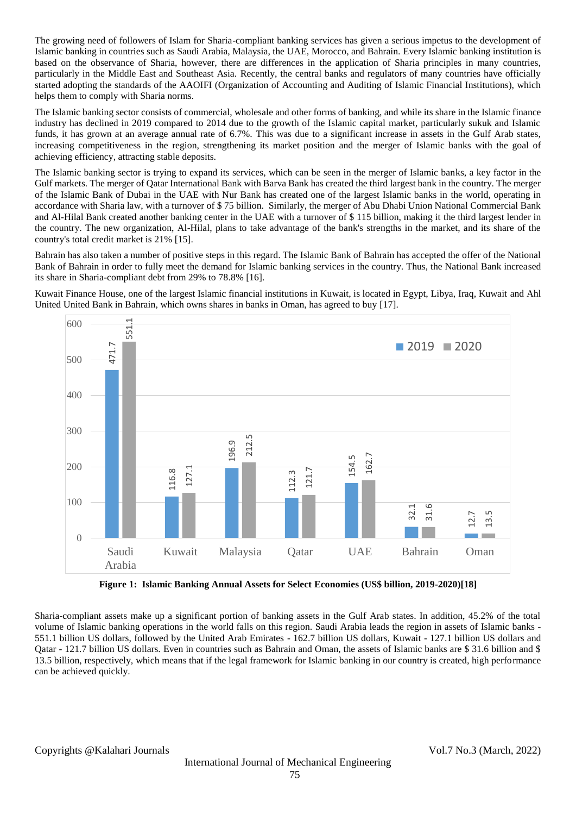The growing need of followers of Islam for Sharia-compliant banking services has given a serious impetus to the development of Islamic banking in countries such as Saudi Arabia, Malaysia, the UAE, Morocco, and Bahrain. Every Islamic banking institution is based on the observance of Sharia, however, there are differences in the application of Sharia principles in many countries, particularly in the Middle East and Southeast Asia. Recently, the central banks and regulators of many countries have officially started adopting the standards of the AAOIFI (Organization of Accounting and Auditing of Islamic Financial Institutions), which helps them to comply with Sharia norms.

The Islamic banking sector consists of commercial, wholesale and other forms of banking, and while its share in the Islamic finance industry has declined in 2019 compared to 2014 due to the growth of the Islamic capital market, particularly sukuk and Islamic funds, it has grown at an average annual rate of 6.7%. This was due to a significant increase in assets in the Gulf Arab states, increasing competitiveness in the region, strengthening its market position and the merger of Islamic banks with the goal of achieving efficiency, attracting stable deposits.

The Islamic banking sector is trying to expand its services, which can be seen in the merger of Islamic banks, a key factor in the Gulf markets. The merger of Qatar International Bank with Barva Bank has created the third largest bank in the country. The merger of the Islamic Bank of Dubai in the UAE with Nur Bank has created one of the largest Islamic banks in the world, operating in accordance with Sharia law, with a turnover of \$ 75 billion. Similarly, the merger of Abu Dhabi Union National Commercial Bank and Al-Hilal Bank created another banking center in the UAE with a turnover of \$ 115 billion, making it the third largest lender in the country. The new organization, Al-Hilal, plans to take advantage of the bank's strengths in the market, and its share of the country's total credit market is 21% [15].

Bahrain has also taken a number of positive steps in this regard. The Islamic Bank of Bahrain has accepted the offer of the National Bank of Bahrain in order to fully meet the demand for Islamic banking services in the country. Thus, the National Bank increased its share in Sharia-compliant debt from 29% to 78.8% [16].

Kuwait Finance House, one of the largest Islamic financial institutions in Kuwait, is located in Egypt, Libya, Iraq, Kuwait and Ahl United United Bank in Bahrain, which owns shares in banks in Oman, has agreed to buy [17].



**Figure 1: Islamic Banking Annual Assets for Select Economies (US\$ billion, 2019-2020)[18]**

Sharia-compliant assets make up a significant portion of banking assets in the Gulf Arab states. In addition, 45.2% of the total volume of Islamic banking operations in the world falls on this region. Saudi Arabia leads the region in assets of Islamic banks - 551.1 billion US dollars, followed by the United Arab Emirates - 162.7 billion US dollars, Kuwait - 127.1 billion US dollars and Qatar - 121.7 billion US dollars. Even in countries such as Bahrain and Oman, the assets of Islamic banks are \$ 31.6 billion and \$ 13.5 billion, respectively, which means that if the legal framework for Islamic banking in our country is created, high performance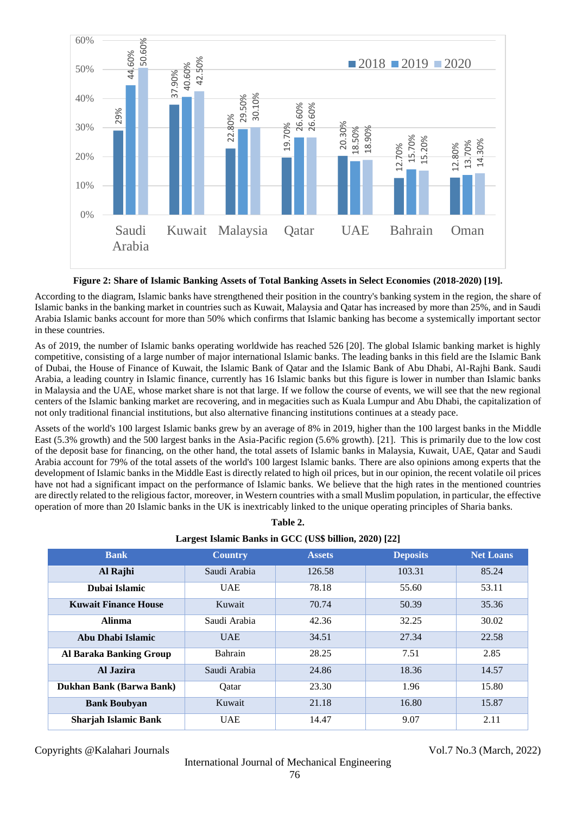

**Figure 2: Share of Islamic Banking Assets of Total Banking Assets in Select Economies (2018-2020) [19].**

According to the diagram, Islamic banks have strengthened their position in the country's banking system in the region, the share of Islamic banks in the banking market in countries such as Kuwait, Malaysia and Qatar has increased by more than 25%, and in Saudi Arabia Islamic banks account for more than 50% which confirms that Islamic banking has become a systemically important sector in these countries.

As of 2019, the number of Islamic banks operating worldwide has reached 526 [20]. The global Islamic banking market is highly competitive, consisting of a large number of major international Islamic banks. The leading banks in this field are the Islamic Bank of Dubai, the House of Finance of Kuwait, the Islamic Bank of Qatar and the Islamic Bank of Abu Dhabi, Al-Rajhi Bank. Saudi Arabia, a leading country in Islamic finance, currently has 16 Islamic banks but this figure is lower in number than Islamic banks in Malaysia and the UAE, whose market share is not that large. If we follow the course of events, we will see that the new regional centers of the Islamic banking market are recovering, and in megacities such as Kuala Lumpur and Abu Dhabi, the capitalization of not only traditional financial institutions, but also alternative financing institutions continues at a steady pace.

Assets of the world's 100 largest Islamic banks grew by an average of 8% in 2019, higher than the 100 largest banks in the Middle East (5.3% growth) and the 500 largest banks in the Asia-Pacific region (5.6% growth). [21]. This is primarily due to the low cost of the deposit base for financing, on the other hand, the total assets of Islamic banks in Malaysia, Kuwait, UAE, Qatar and Saudi Arabia account for 79% of the total assets of the world's 100 largest Islamic banks. There are also opinions among experts that the development of Islamic banks in the Middle East is directly related to high oil prices, but in our opinion, the recent volatile oil prices have not had a significant impact on the performance of Islamic banks. We believe that the high rates in the mentioned countries are directly related to the religious factor, moreover, in Western countries with a small Muslim population, in particular, the effective operation of more than 20 Islamic banks in the UK is inextricably linked to the unique operating principles of Sharia banks.

**Table 2.**

| Largest Islamic Banks in GCC (US\$ billion, 2020) [22] |                |               |                 |                  |  |  |  |
|--------------------------------------------------------|----------------|---------------|-----------------|------------------|--|--|--|
| <b>Bank</b>                                            | <b>Country</b> | <b>Assets</b> | <b>Deposits</b> | <b>Net Loans</b> |  |  |  |
| Al Rajhi                                               | Saudi Arabia   | 126.58        | 103.31          | 85.24            |  |  |  |
| Dubai Islamic                                          | <b>UAE</b>     | 78.18         | 55.60           | 53.11            |  |  |  |
| <b>Kuwait Finance House</b>                            | Kuwait         | 70.74         | 50.39           | 35.36            |  |  |  |
| <b>Alinma</b>                                          | Saudi Arabia   | 42.36         | 32.25           | 30.02            |  |  |  |
| Abu Dhabi Islamic                                      | <b>UAE</b>     | 34.51         | 27.34           | 22.58            |  |  |  |
| <b>Al Baraka Banking Group</b>                         | <b>Bahrain</b> | 28.25         | 7.51            | 2.85             |  |  |  |
| Al Jazira                                              | Saudi Arabia   | 24.86         | 18.36           | 14.57            |  |  |  |
| Dukhan Bank (Barwa Bank)                               | Oatar          | 23.30         | 1.96            | 15.80            |  |  |  |
| <b>Bank Boubyan</b>                                    | Kuwait         | 21.18         | 16.80           | 15.87            |  |  |  |
| <b>Sharjah Islamic Bank</b>                            | <b>UAE</b>     | 14.47         | 9.07            | 2.11             |  |  |  |

Copyrights @Kalahari Journals Vol.7 No.3 (March, 2022)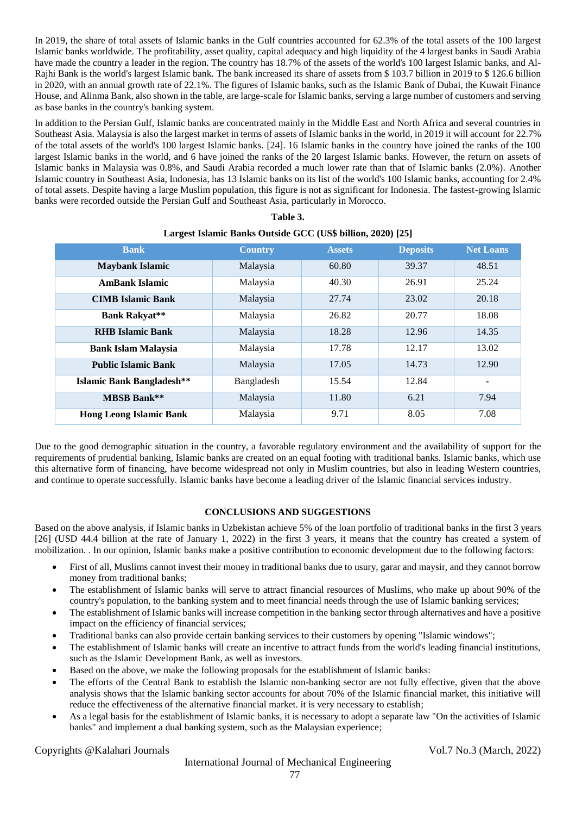In 2019, the share of total assets of Islamic banks in the Gulf countries accounted for 62.3% of the total assets of the 100 largest Islamic banks worldwide. The profitability, asset quality, capital adequacy and high liquidity of the 4 largest banks in Saudi Arabia have made the country a leader in the region. The country has 18.7% of the assets of the world's 100 largest Islamic banks, and Al-Rajhi Bank is the world's largest Islamic bank. The bank increased its share of assets from \$ 103.7 billion in 2019 to \$ 126.6 billion in 2020, with an annual growth rate of 22.1%. The figures of Islamic banks, such as the Islamic Bank of Dubai, the Kuwait Finance House, and Alinma Bank, also shown in the table, are large-scale for Islamic banks, serving a large number of customers and serving as base banks in the country's banking system.

In addition to the Persian Gulf, Islamic banks are concentrated mainly in the Middle East and North Africa and several countries in Southeast Asia. Malaysia is also the largest market in terms of assets of Islamic banks in the world, in 2019 it will account for 22.7% of the total assets of the world's 100 largest Islamic banks. [24]. 16 Islamic banks in the country have joined the ranks of the 100 largest Islamic banks in the world, and 6 have joined the ranks of the 20 largest Islamic banks. However, the return on assets of Islamic banks in Malaysia was 0.8%, and Saudi Arabia recorded a much lower rate than that of Islamic banks (2.0%). Another Islamic country in Southeast Asia, Indonesia, has 13 Islamic banks on its list of the world's 100 Islamic banks, accounting for 2.4% of total assets. Despite having a large Muslim population, this figure is not as significant for Indonesia. The fastest-growing Islamic banks were recorded outside the Persian Gulf and Southeast Asia, particularly in Morocco.

| <b>Bank</b>                      | <b>Country</b> | <b>Assets</b> | <b>Deposits</b> | <b>Net Loans</b>         |
|----------------------------------|----------------|---------------|-----------------|--------------------------|
| <b>Maybank Islamic</b>           | Malaysia       | 60.80         | 39.37           | 48.51                    |
| <b>AmBank Islamic</b>            | Malaysia       | 40.30         | 26.91           | 25.24                    |
| <b>CIMB Islamic Bank</b>         | Malaysia       | 27.74         | 23.02           | 20.18                    |
| <b>Bank Rakyat**</b>             | Malaysia       | 26.82         | 20.77           | 18.08                    |
| <b>RHB Islamic Bank</b>          | Malaysia       | 18.28         | 12.96           | 14.35                    |
| <b>Bank Islam Malaysia</b>       | Malaysia       | 17.78         | 12.17           | 13.02                    |
| <b>Public Islamic Bank</b>       | Malaysia       | 17.05         | 14.73           | 12.90                    |
| <b>Islamic Bank Bangladesh**</b> | Bangladesh     | 15.54         | 12.84           | $\overline{\phantom{a}}$ |
| <b>MBSB Bank**</b>               | Malaysia       | 11.80         | 6.21            | 7.94                     |
| <b>Hong Leong Islamic Bank</b>   | Malaysia       | 9.71          | 8.05            | 7.08                     |

| Table 3.                                                    |  |
|-------------------------------------------------------------|--|
| Largest Islamic Banks Outside GCC (US\$ billion, 2020) [25] |  |

Due to the good demographic situation in the country, a favorable regulatory environment and the availability of support for the requirements of prudential banking, Islamic banks are created on an equal footing with traditional banks. Islamic banks, which use this alternative form of financing, have become widespread not only in Muslim countries, but also in leading Western countries, and continue to operate successfully. Islamic banks have become a leading driver of the Islamic financial services industry.

## **CONCLUSIONS AND SUGGESTIONS**

Based on the above analysis, if Islamic banks in Uzbekistan achieve 5% of the loan portfolio of traditional banks in the first 3 years [26] (USD 44.4 billion at the rate of January 1, 2022) in the first 3 years, it means that the country has created a system of mobilization. . In our opinion, Islamic banks make a positive contribution to economic development due to the following factors:

- First of all, Muslims cannot invest their money in traditional banks due to usury, garar and maysir, and they cannot borrow money from traditional banks;
- The establishment of Islamic banks will serve to attract financial resources of Muslims, who make up about 90% of the country's population, to the banking system and to meet financial needs through the use of Islamic banking services;
- The establishment of Islamic banks will increase competition in the banking sector through alternatives and have a positive impact on the efficiency of financial services;
- Traditional banks can also provide certain banking services to their customers by opening "Islamic windows";
- The establishment of Islamic banks will create an incentive to attract funds from the world's leading financial institutions, such as the Islamic Development Bank, as well as investors.
- Based on the above, we make the following proposals for the establishment of Islamic banks:
- The efforts of the Central Bank to establish the Islamic non-banking sector are not fully effective, given that the above analysis shows that the Islamic banking sector accounts for about 70% of the Islamic financial market, this initiative will reduce the effectiveness of the alternative financial market. it is very necessary to establish;
- As a legal basis for the establishment of Islamic banks, it is necessary to adopt a separate law "On the activities of Islamic banks" and implement a dual banking system, such as the Malaysian experience;

Copyrights @Kalahari Journals Vol.7 No.3 (March, 2022)